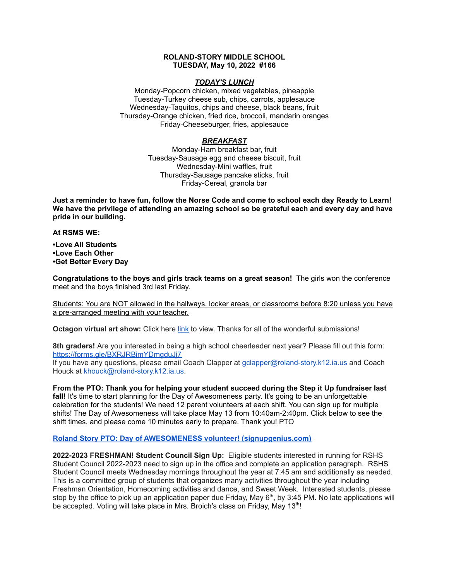### **ROLAND-STORY MIDDLE SCHOOL TUESDAY, May 10, 2022 #166**

#### *TODAY'S LUNCH*

Monday-Popcorn chicken, mixed vegetables, pineapple Tuesday-Turkey cheese sub, chips, carrots, applesauce Wednesday-Taquitos, chips and cheese, black beans, fruit Thursday-Orange chicken, fried rice, broccoli, mandarin oranges Friday-Cheeseburger, fries, applesauce

## *BREAKFAST*

Monday-Ham breakfast bar, fruit Tuesday-Sausage egg and cheese biscuit, fruit Wednesday-Mini waffles, fruit Thursday-Sausage pancake sticks, fruit Friday-Cereal, granola bar

Just a reminder to have fun, follow the Norse Code and come to school each day Ready to Learn! **We have the privilege of attending an amazing school so be grateful each and every day and have pride in our building.**

**At RSMS WE:**

**•Love All Students •Love Each Other •Get Better Every Day**

**Congratulations to the boys and girls track teams on a great season!** The girls won the conference meet and the boys finished 3rd last Friday.

Students: You are NOT allowed in the hallways, locker areas, or classrooms before 8:20 unless you have a pre-arranged meeting with your teacher.

**Octagon virtual art show:** Click here [link](https://www.youtube.com/watch?v=l_N0KeDsDNI) to view. Thanks for all of the wonderful submissions!

**8th graders!** Are you interested in being a high school cheerleader next year? Please fill out this form[:](https://forms.gle/BXRJRBimYDmgduJj7) <https://forms.gle/BXRJRBimYDmgduJj7>

If you have any questions, please email Coach Clapper at gclapper@roland-story.k12.ia.us and Coach Houck at khouck@roland-story.k12.ia.us.

**From the PTO: Thank you for helping your student succeed during the Step it Up fundraiser last** fall! It's time to start planning for the Day of Awesomeness party. It's going to be an unforgettable celebration for the students! We need 12 parent volunteers at each shift. You can sign up for multiple shifts! The Day of Awesomeness will take place May 13 from 10:40am-2:40pm. Click below to see the shift times, and please come 10 minutes early to prepare. Thank you! PTO

## **Roland Story PTO: Day of AWESOMENESS volunteer! [\(signupgenius.com\)](https://www.signupgenius.com/go/5080f48afab2ba5f94-dayofawesomeness)**

**2022-2023 FRESHMAN! Student Council Sign Up:** Eligible students interested in running for RSHS Student Council 2022-2023 need to sign up in the office and complete an application paragraph. RSHS Student Council meets Wednesday mornings throughout the year at 7:45 am and additionally as needed. This is a committed group of students that organizes many activities throughout the year including Freshman Orientation, Homecoming activities and dance, and Sweet Week. Interested students, please stop by the office to pick up an application paper due Friday, May  $6<sup>th</sup>$ , by 3:45 PM. No late applications will be accepted. Voting will take place in Mrs. Broich's class on Friday, May 13<sup>th</sup>!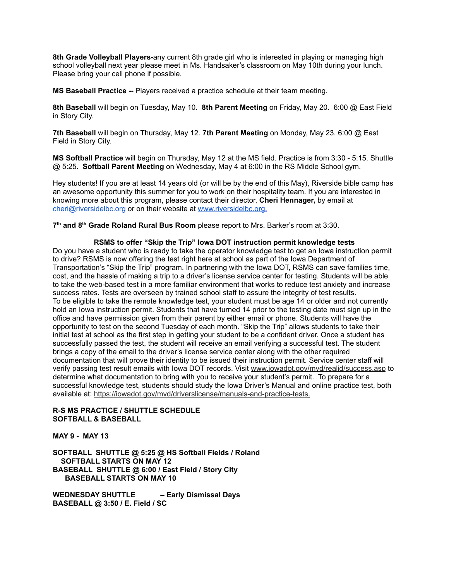**8th Grade Volleyball Players-**any current 8th grade girl who is interested in playing or managing high school volleyball next year please meet in Ms. Handsaker's classroom on May 10th during your lunch. Please bring your cell phone if possible.

**MS Baseball Practice --** Players received a practice schedule at their team meeting.

**8th Baseball** will begin on Tuesday, May 10. **8th Parent Meeting** on Friday, May 20. 6:00 @ East Field in Story City.

**7th Baseball** will begin on Thursday, May 12. **7th Parent Meeting** on Monday, May 23. 6:00 @ East Field in Story City.

**MS Softball Practice** will begin on Thursday, May 12 at the MS field. Practice is from 3:30 - 5:15. Shuttle @ 5:25. **Softball Parent Meeting** on Wednesday, May 4 at 6:00 in the RS Middle School gym.

Hey students! If you are at least 14 years old (or will be by the end of this May), Riverside bible camp has an awesome opportunity this summer for you to work on their hospitality team. If you are interested in knowing more about this program, please contact their director, **Cheri Hennager,** by email at cheri@riversidelbc.org or on their website at [www.riversidelbc.org.](http://www.riversidelbc.org/)

**7 th and 8 th Grade Roland Rural Bus Room** please report to Mrs. Barker's room at 3:30.

#### **RSMS to offer "Skip the Trip" Iowa DOT instruction permit knowledge tests**

Do you have a student who is ready to take the operator knowledge test to get an Iowa instruction permit to drive? RSMS is now offering the test right here at school as part of the Iowa Department of Transportation's "Skip the Trip" program. In partnering with the Iowa DOT, RSMS can save families time, cost, and the hassle of making a trip to a driver's license service center for testing. Students will be able to take the web-based test in a more familiar environment that works to reduce test anxiety and increase success rates. Tests are overseen by trained school staff to assure the integrity of test results. To be eligible to take the remote knowledge test, your student must be age 14 or older and not currently hold an Iowa instruction permit. Students that have turned 14 prior to the testing date must sign up in the office and have permission given from their parent by either email or phone. Students will have the opportunity to test on the second Tuesday of each month. "Skip the Trip" allows students to take their initial test at school as the first step in getting your student to be a confident driver. Once a student has successfully passed the test, the student will receive an email verifying a successful test. The student brings a copy of the email to the driver's license service center along with the other required documentation that will prove their identity to be issued their instruction permit. Service center staff will verify passing test result emails with Iowa DOT records. Visit [www.iowadot.gov/mvd/realid/success.asp](http://www.iowadot.gov/mvd/realid/success.asp) to determine what documentation to bring with you to receive your student's permit. To prepare for a successful knowledge test, students should study the Iowa Driver's Manual and online practice test, both available at: <https://iowadot.gov/mvd/driverslicense/manuals-and-practice-tests>.

# **R-S MS PRACTICE / SHUTTLE SCHEDULE SOFTBALL & BASEBALL**

**MAY 9 - MAY 13**

**SOFTBALL SHUTTLE @ 5:25 @ HS Softball Fields / Roland SOFTBALL STARTS ON MAY 12 BASEBALL SHUTTLE @ 6:00 / East Field / Story City BASEBALL STARTS ON MAY 10**

**WEDNESDAY SHUTTLE – Early Dismissal Days BASEBALL @ 3:50 / E. Field / SC**